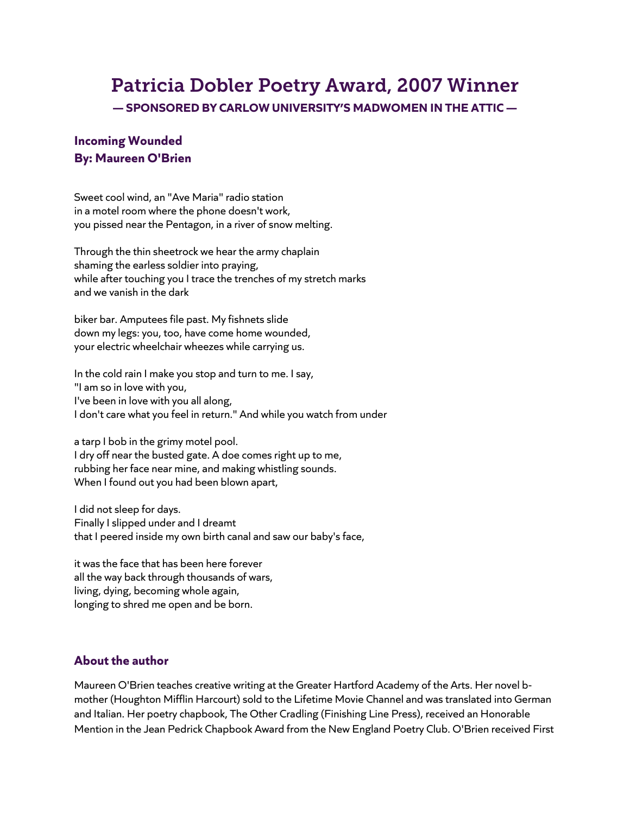## Patricia Dobler Poetry Award, 2007 Winner **— SPONSORED BY CARLOW UNIVERSITY'S MADWOMEN IN THE ATTIC —**

## **Incoming Wounded By: Maureen O'Brien**

Sweet cool wind, an "Ave Maria" radio station in a motel room where the phone doesn't work, you pissed near the Pentagon, in a river of snow melting.

Through the thin sheetrock we hear the army chaplain shaming the earless soldier into praying, while after touching you I trace the trenches of my stretch marks and we vanish in the dark

biker bar. Amputees file past. My fishnets slide down my legs: you, too, have come home wounded, your electric wheelchair wheezes while carrying us.

In the cold rain I make you stop and turn to me. I say, "I am so in love with you, I've been in love with you all along, I don't care what you feel in return." And while you watch from under

a tarp I bob in the grimy motel pool. I dry off near the busted gate. A doe comes right up to me, rubbing her face near mine, and making whistling sounds. When I found out you had been blown apart,

I did not sleep for days. Finally I slipped under and I dreamt that I peered inside my own birth canal and saw our baby's face,

it was the face that has been here forever all the way back through thousands of wars, living, dying, becoming whole again, longing to shred me open and be born.

## **About the author**

Maureen O'Brien teaches creative writing at the Greater Hartford Academy of the Arts. Her novel bmother (Houghton Mifflin Harcourt) sold to the Lifetime Movie Channel and was translated into German and Italian. Her poetry chapbook, The Other Cradling (Finishing Line Press), received an Honorable Mention in the Jean Pedrick Chapbook Award from the New England Poetry Club. O'Brien received First